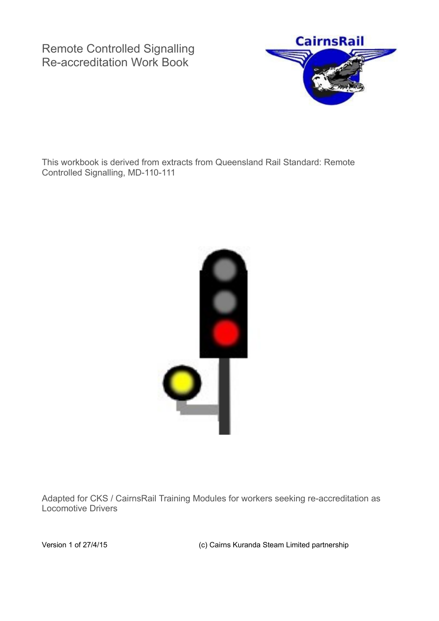Remote Controlled Signalling Re-accreditation Work Book



This workbook is derived from extracts from Queensland Rail Standard: Remote Controlled Signalling, MD-110-111



Adapted for CKS / CairnsRail Training Modules for workers seeking re-accreditation as Locomotive Drivers

Version 1 of 27/4/15 (c) Cairns Kuranda Steam Limited partnership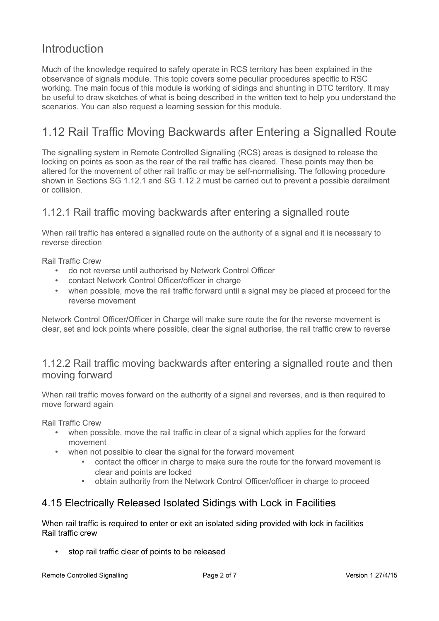## **Introduction**

Much of the knowledge required to safely operate in RCS territory has been explained in the observance of signals module. This topic covers some peculiar procedures specific to RSC working. The main focus of this module is working of sidings and shunting in DTC territory. It may be useful to draw sketches of what is being described in the written text to help you understand the scenarios. You can also request a learning session for this module.

# 1.12 Rail Traffic Moving Backwards after Entering a Signalled Route

The signalling system in Remote Controlled Signalling (RCS) areas is designed to release the locking on points as soon as the rear of the rail traffic has cleared. These points may then be altered for the movement of other rail traffic or may be self-normalising. The following procedure shown in Sections SG 1.12.1 and SG 1.12.2 must be carried out to prevent a possible derailment or collision.

## 1.12.1 Rail traffic moving backwards after entering a signalled route

When rail traffic has entered a signalled route on the authority of a signal and it is necessary to reverse direction

Rail Traffic Crew

- do not reverse until authorised by Network Control Officer
- contact Network Control Officer/officer in charge
- when possible, move the rail traffic forward until a signal may be placed at proceed for the reverse movement

Network Control Officer/Officer in Charge will make sure route the for the reverse movement is clear, set and lock points where possible, clear the signal authorise, the rail traffic crew to reverse

## 1.12.2 Rail traffic moving backwards after entering a signalled route and then moving forward

When rail traffic moves forward on the authority of a signal and reverses, and is then required to move forward again

Rail Traffic Crew

- when possible, move the rail traffic in clear of a signal which applies for the forward movement
- when not possible to clear the signal for the forward movement
	- contact the officer in charge to make sure the route for the forward movement is clear and points are locked
	- obtain authority from the Network Control Officer/officer in charge to proceed

## 4.15 Electrically Released Isolated Sidings with Lock in Facilities

When rail traffic is required to enter or exit an isolated siding provided with lock in facilities Rail traffic crew

• stop rail traffic clear of points to be released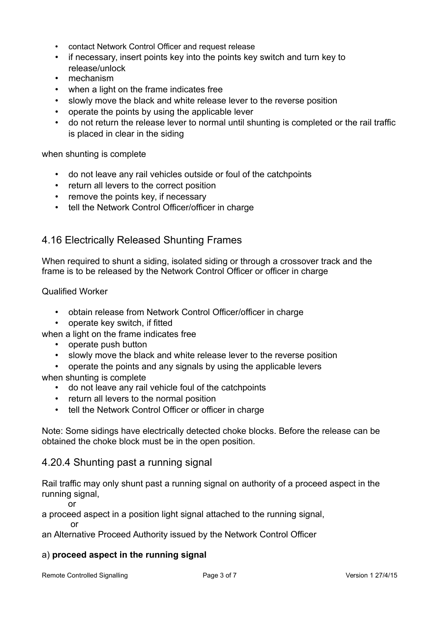- contact Network Control Officer and request release
- if necessary, insert points key into the points key switch and turn key to release/unlock
- mechanism
- when a light on the frame indicates free
- slowly move the black and white release lever to the reverse position
- operate the points by using the applicable lever
- do not return the release lever to normal until shunting is completed or the rail traffic is placed in clear in the siding

when shunting is complete

- do not leave any rail vehicles outside or foul of the catchpoints
- return all levers to the correct position
- remove the points key, if necessary
- tell the Network Control Officer/officer in charge

## 4.16 Electrically Released Shunting Frames

When required to shunt a siding, isolated siding or through a crossover track and the frame is to be released by the Network Control Officer or officer in charge

Qualified Worker

- obtain release from Network Control Officer/officer in charge
- operate key switch, if fitted
- when a light on the frame indicates free
	- operate push button
	- slowly move the black and white release lever to the reverse position
- operate the points and any signals by using the applicable levers when shunting is complete
	- do not leave any rail vehicle foul of the catchpoints
	- return all levers to the normal position
	- tell the Network Control Officer or officer in charge

Note: Some sidings have electrically detected choke blocks. Before the release can be obtained the choke block must be in the open position.

## 4.20.4 Shunting past a running signal

Rail traffic may only shunt past a running signal on authority of a proceed aspect in the running signal,

or

a proceed aspect in a position light signal attached to the running signal,

or

an Alternative Proceed Authority issued by the Network Control Officer

#### a) **proceed aspect in the running signal**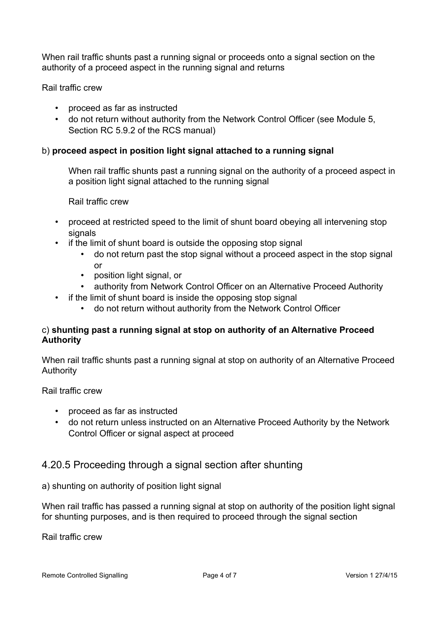When rail traffic shunts past a running signal or proceeds onto a signal section on the authority of a proceed aspect in the running signal and returns

Rail traffic crew

- proceed as far as instructed
- do not return without authority from the Network Control Officer (see Module 5, Section RC 5.9.2 of the RCS manual)

### b) **proceed aspect in position light signal attached to a running signal**

When rail traffic shunts past a running signal on the authority of a proceed aspect in a position light signal attached to the running signal

Rail traffic crew

- proceed at restricted speed to the limit of shunt board obeying all intervening stop signals
- if the limit of shunt board is outside the opposing stop signal
	- do not return past the stop signal without a proceed aspect in the stop signal or
	- position light signal, or
	- authority from Network Control Officer on an Alternative Proceed Authority
- if the limit of shunt board is inside the opposing stop signal
	- do not return without authority from the Network Control Officer

#### c) **shunting past a running signal at stop on authority of an Alternative Proceed Authority**

When rail traffic shunts past a running signal at stop on authority of an Alternative Proceed Authority

Rail traffic crew

- proceed as far as instructed
- do not return unless instructed on an Alternative Proceed Authority by the Network Control Officer or signal aspect at proceed

## 4.20.5 Proceeding through a signal section after shunting

a) shunting on authority of position light signal

When rail traffic has passed a running signal at stop on authority of the position light signal for shunting purposes, and is then required to proceed through the signal section

Rail traffic crew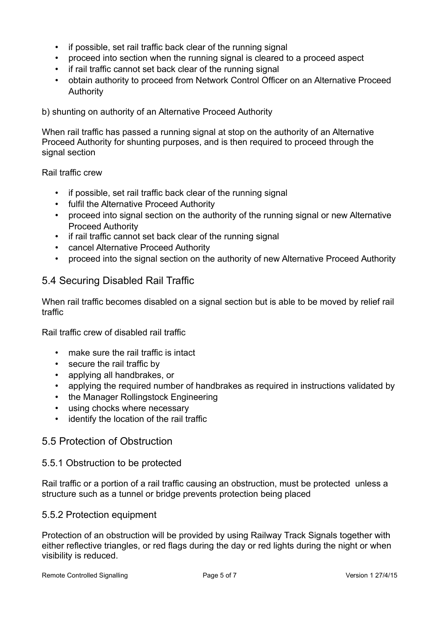- if possible, set rail traffic back clear of the running signal
- proceed into section when the running signal is cleared to a proceed aspect
- if rail traffic cannot set back clear of the running signal
- obtain authority to proceed from Network Control Officer on an Alternative Proceed Authority

b) shunting on authority of an Alternative Proceed Authority

When rail traffic has passed a running signal at stop on the authority of an Alternative Proceed Authority for shunting purposes, and is then required to proceed through the signal section

Rail traffic crew

- if possible, set rail traffic back clear of the running signal
- fulfil the Alternative Proceed Authority
- proceed into signal section on the authority of the running signal or new Alternative Proceed Authority
- if rail traffic cannot set back clear of the running signal
- cancel Alternative Proceed Authority
- proceed into the signal section on the authority of new Alternative Proceed Authority

## 5.4 Securing Disabled Rail Traffic

When rail traffic becomes disabled on a signal section but is able to be moved by relief rail traffic

Rail traffic crew of disabled rail traffic

- make sure the rail traffic is intact
- secure the rail traffic by
- applying all handbrakes, or
- applying the required number of handbrakes as required in instructions validated by
- the Manager Rollingstock Engineering
- using chocks where necessary
- identify the location of the rail traffic

## 5.5 Protection of Obstruction

#### 5.5.1 Obstruction to be protected

Rail traffic or a portion of a rail traffic causing an obstruction, must be protected unless a structure such as a tunnel or bridge prevents protection being placed

#### 5.5.2 Protection equipment

Protection of an obstruction will be provided by using Railway Track Signals together with either reflective triangles, or red flags during the day or red lights during the night or when visibility is reduced.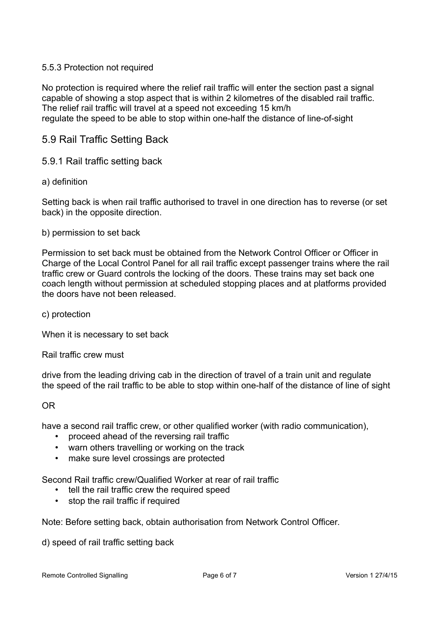#### 5.5.3 Protection not required

No protection is required where the relief rail traffic will enter the section past a signal capable of showing a stop aspect that is within 2 kilometres of the disabled rail traffic. The relief rail traffic will travel at a speed not exceeding 15 km/h regulate the speed to be able to stop within one-half the distance of line-of-sight

## 5.9 Rail Traffic Setting Back

#### 5.9.1 Rail traffic setting back

#### a) definition

Setting back is when rail traffic authorised to travel in one direction has to reverse (or set back) in the opposite direction.

#### b) permission to set back

Permission to set back must be obtained from the Network Control Officer or Officer in Charge of the Local Control Panel for all rail traffic except passenger trains where the rail traffic crew or Guard controls the locking of the doors. These trains may set back one coach length without permission at scheduled stopping places and at platforms provided the doors have not been released.

c) protection

When it is necessary to set back

Rail traffic crew must

drive from the leading driving cab in the direction of travel of a train unit and regulate the speed of the rail traffic to be able to stop within one-half of the distance of line of sight

#### OR

have a second rail traffic crew, or other qualified worker (with radio communication),

- proceed ahead of the reversing rail traffic
- warn others travelling or working on the track
- make sure level crossings are protected

Second Rail traffic crew/Qualified Worker at rear of rail traffic

- tell the rail traffic crew the required speed
- stop the rail traffic if required

Note: Before setting back, obtain authorisation from Network Control Officer.

d) speed of rail traffic setting back